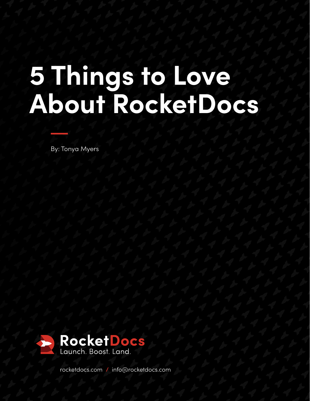## **5 Things to Love About RocketDocs**

By: Tonya Myers



[rocketdocs.com](https://rocketdocs.com/) **/** [info@rocketdocs.com](mailto:%20info%40rocketdocs.com?subject=)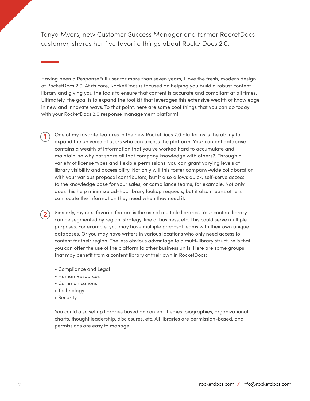Tonya Myers, new Customer Success Manager and former RocketDocs customer, shares her five favorite things about RocketDocs 2.0.

Having been a ResponseFull user for more than seven years, I love the fresh, modern design of RocketDocs 2.0. At its core, RocketDocs is focused on helping you build a robust content library and giving you the tools to ensure that content is accurate and compliant at all times. Ultimately, the goal is to expand the tool kit that leverages this extensive wealth of knowledge in new and innovate ways. To that point, here are some cool things that you can do today with your RocketDocs 2.0 response management platform!

One of my favorite features in the new RocketDocs 2.0 platforms is the ability to expand the universe of users who can access the platform. Your content database contains a wealth of information that you've worked hard to accumulate and maintain, so why not share all that company knowledge with others?. Through a variety of license types and flexible permissions, you can grant varying levels of library visibility and accessibility. Not only will this foster company-wide collaboration with your various proposal contributors, but it also allows quick, self-serve access to the knowledge base for your sales, or compliance teams, for example. Not only does this help minimize ad-hoc library lookup requests, but it also means others can locate the information they need when they need it. **1**

Similarly, my next favorite feature is the use of multiple libraries. Your content library can be segmented by region, strategy, line of business, etc. This could serve multiple purposes. For example, you may have multiple proposal teams with their own unique databases. Or you may have writers in various locations who only need access to content for their region. The less obvious advantage to a multi-library structure is that you can offer the use of the platform to other business units. Here are some groups that may benefit from a content library of their own in RocketDocs:

- Compliance and Legal
- Human Resources
- Communications
- Technology
- Security

**2**

You could also set up libraries based on content themes: biographies, organizational charts, thought leadership, disclosures, etc. All libraries are permission-based, and permissions are easy to manage.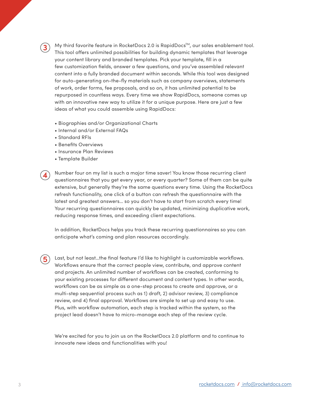My third favorite feature in RocketDocs 2.0 is RapidDocs<sup>™</sup>, our sales enablement tool. This tool offers unlimited possibilities for building dynamic templates that leverage your content library and branded templates. Pick your template, fill in a few customization fields, answer a few questions, and you've assembled relevant content into a fully branded document within seconds. While this tool was designed for auto-generating on-the-fly materials such as company overviews, statements of work, order forms, fee proposals, and so on, it has unlimited potential to be repurposed in countless ways. Every time we show RapidDocs, someone comes up with an innovative new way to utilize it for a unique purpose. Here are just a few ideas of what you could assemble using RapidDocs:

- Biographies and/or Organizational Charts
- Internal and/or External FAQs
- Standard RFIs

**3**

**4**

**5**

- Benefits Overviews
- Insurance Plan Reviews
- Template Builder

Number four on my list is such a major time saver! You know those recurring client questionnaires that you get every year, or every quarter? Some of them can be quite extensive, but generally they're the same questions every time. Using the RocketDocs refresh functionality, one click of a button can refresh the questionnaire with the latest and greatest answers… so you don't have to start from scratch every time! Your recurring questionnaires can quickly be updated, minimizing duplicative work, reducing response times, and exceeding client expectations.

In addition, RocketDocs helps you track these recurring questionnaires so you can anticipate what's coming and plan resources accordingly.

Last, but not least…the final feature I'd like to highlight is customizable workflows. Workflows ensure that the correct people view, contribute, and approve content and projects. An unlimited number of workflows can be created, conforming to your existing processes for different document and content types. In other words, workflows can be as simple as a one-step process to create and approve, or a multi-step sequential process such as 1) draft, 2) advisor review, 3) compliance review, and 4) final approval. Workflows are simple to set up and easy to use. Plus, with workflow automation, each step is tracked within the system, so the project lead doesn't have to micro-manage each step of the review cycle.

We're excited for you to join us on the RocketDocs 2.0 platform and to continue to innovate new ideas and functionalities with you!